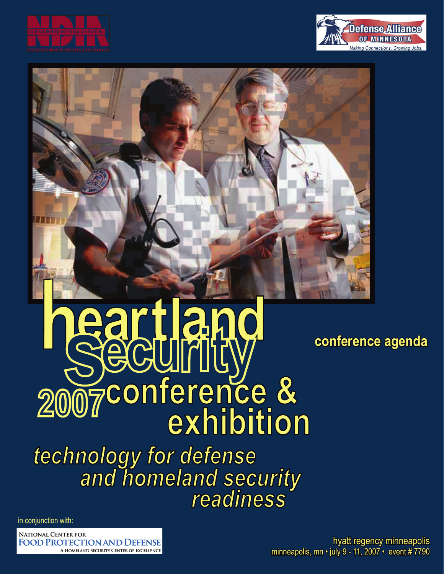



# **Teart lan 2007**<br>Therence &

technology for defense<br>and homeland security readiness

in conjunction with:

**NATIONAL CENTER FOR FOOD PROTECTION AND DEFENSE** A HOMELAND SECURITY CENTER OF EXCELLENCE **conference agenda**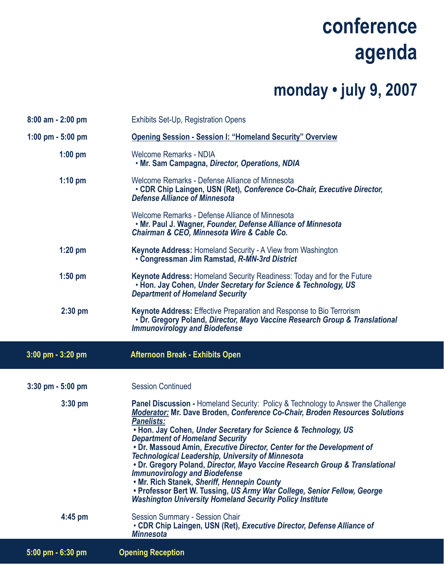#### **monday • july 9, 2007**

| $8:00$ am - 2:00 pm  | <b>Exhibits Set-Up, Registration Opens</b>                                                                                                                                                                                                                                                                                                                                                                                                                                                                                                                                                                                                                                                                                                                                   |
|----------------------|------------------------------------------------------------------------------------------------------------------------------------------------------------------------------------------------------------------------------------------------------------------------------------------------------------------------------------------------------------------------------------------------------------------------------------------------------------------------------------------------------------------------------------------------------------------------------------------------------------------------------------------------------------------------------------------------------------------------------------------------------------------------------|
| 1:00 pm $-5:00$ pm   | <b>Opening Session - Session I: "Homeland Security" Overview</b>                                                                                                                                                                                                                                                                                                                                                                                                                                                                                                                                                                                                                                                                                                             |
| $1:00$ pm            | <b>Welcome Remarks - NDIA</b><br>. Mr. Sam Campagna, Director, Operations, NDIA                                                                                                                                                                                                                                                                                                                                                                                                                                                                                                                                                                                                                                                                                              |
| $1:10$ pm            | Welcome Remarks - Defense Alliance of Minnesota<br>• CDR Chip Laingen, USN (Ret), Conference Co-Chair, Executive Director,<br><b>Defense Alliance of Minnesota</b>                                                                                                                                                                                                                                                                                                                                                                                                                                                                                                                                                                                                           |
|                      | Welcome Remarks - Defense Alliance of Minnesota<br>. Mr. Paul J. Wagner, Founder, Defense Alliance of Minnesota<br>Chairman & CEO, Minnesota Wire & Cable Co.                                                                                                                                                                                                                                                                                                                                                                                                                                                                                                                                                                                                                |
| $1:20$ pm            | <b>Keynote Address: Homeland Security - A View from Washington</b><br>• Congressman Jim Ramstad, R-MN-3rd District                                                                                                                                                                                                                                                                                                                                                                                                                                                                                                                                                                                                                                                           |
| $1:50$ pm            | Keynote Address: Homeland Security Readiness: Today and for the Future<br>. Hon. Jay Cohen, Under Secretary for Science & Technology, US<br><b>Department of Homeland Security</b>                                                                                                                                                                                                                                                                                                                                                                                                                                                                                                                                                                                           |
| $2:30$ pm            | <b>Keynote Address:</b> Effective Preparation and Response to Bio Terrorism<br>. Dr. Gregory Poland, Director, Mayo Vaccine Research Group & Translational<br><b>Immunovirology and Biodefense</b>                                                                                                                                                                                                                                                                                                                                                                                                                                                                                                                                                                           |
|                      |                                                                                                                                                                                                                                                                                                                                                                                                                                                                                                                                                                                                                                                                                                                                                                              |
| 3:00 pm - 3:20 pm    | <b>Afternoon Break - Exhibits Open</b>                                                                                                                                                                                                                                                                                                                                                                                                                                                                                                                                                                                                                                                                                                                                       |
| $3:30$ pm $-5:00$ pm | <b>Session Continued</b>                                                                                                                                                                                                                                                                                                                                                                                                                                                                                                                                                                                                                                                                                                                                                     |
| $3:30$ pm            | <b>Panel Discussion - Homeland Security: Policy &amp; Technology to Answer the Challenge</b><br><b>Moderator: Mr. Dave Broden, Conference Co-Chair, Broden Resources Solutions</b><br><b>Panelists:</b><br>• Hon. Jay Cohen, Under Secretary for Science & Technology, US<br><b>Department of Homeland Security</b><br>• Dr. Massoud Amin, Executive Director, Center for the Development of<br><b>Technological Leadership, University of Minnesota</b><br>. Dr. Gregory Poland, Director, Mayo Vaccine Research Group & Translational<br><b>Immunovirology and Biodefense</b><br>. Mr. Rich Stanek, Sheriff, Hennepin County<br>• Professor Bert W. Tussing, US Army War College, Senior Fellow, George<br><b>Washington University Homeland Security Policy Institute</b> |
| $4:45$ pm            | Session Summary - Session Chair<br>• CDR Chip Laingen, USN (Ret), Executive Director, Defense Alliance of<br><b>Minnesota</b>                                                                                                                                                                                                                                                                                                                                                                                                                                                                                                                                                                                                                                                |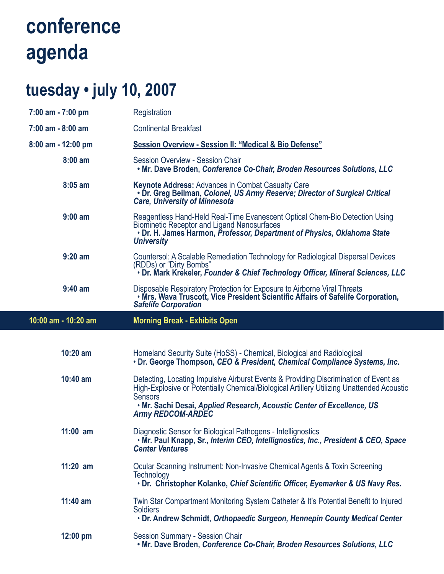#### **tuesday • july 10, 2007**

| $7:00$ am $-7:00$ pm | Registration                                                                                                                                                                                                                                                                                              |
|----------------------|-----------------------------------------------------------------------------------------------------------------------------------------------------------------------------------------------------------------------------------------------------------------------------------------------------------|
| 7:00 am - 8:00 am    | <b>Continental Breakfast</b>                                                                                                                                                                                                                                                                              |
| 8:00 am - 12:00 pm   | Session Overview - Session II: "Medical & Bio Defense"                                                                                                                                                                                                                                                    |
| $8:00$ am            | <b>Session Overview - Session Chair</b><br>. Mr. Dave Broden, Conference Co-Chair, Broden Resources Solutions, LLC                                                                                                                                                                                        |
| $8:05$ am            | <b>Keynote Address: Advances in Combat Casualty Care</b><br>• Dr. Greg Beilman, Colonel, US Army Reserve; Director of Surgical Critical<br><b>Care, University of Minnesota</b>                                                                                                                           |
| $9:00$ am            | Reagentless Hand-Held Real-Time Evanescent Optical Chem-Bio Detection Using<br><b>Biominetic Receptor and Ligand Nanosurfaces</b><br>· Dr. H. James Harmon, Professor, Department of Physics, Oklahoma State<br><b>University</b>                                                                         |
| $9:20$ am            | Countersol: A Scalable Remediation Technology for Radiological Dispersal Devices<br>(RDDs) or "Dirty Bombs"<br>· Dr. Mark Krekeler, Founder & Chief Technology Officer, Mineral Sciences, LLC                                                                                                             |
| $9:40$ am            | Disposable Respiratory Protection for Exposure to Airborne Viral Threats<br>. Mrs. Wava Truscott, Vice President Scientific Affairs of Safelife Corporation,<br><b>Safelife Corporation</b>                                                                                                               |
| 10:00 am - 10:20 am  | <b>Morning Break - Exhibits Open</b>                                                                                                                                                                                                                                                                      |
|                      |                                                                                                                                                                                                                                                                                                           |
|                      |                                                                                                                                                                                                                                                                                                           |
| $10:20$ am           | Homeland Security Suite (HoSS) - Chemical, Biological and Radiological<br>· Dr. George Thompson, CEO & President, Chemical Compliance Systems, Inc.                                                                                                                                                       |
| 10:40 am             | Detecting, Locating Impulsive Airburst Events & Providing Discrimination of Event as<br>High-Explosive or Potentially Chemical/Biological Artillery Utilizing Unattended Acoustic<br><b>Sensors</b><br>. Mr. Sachi Desai, Applied Research, Acoustic Center of Excellence, US<br><b>Army REDCOM-ARDEC</b> |
| $11:00$ am           | Diagnostic Sensor for Biological Pathogens - Intellignostics<br>• Mr. Paul Knapp, Sr., Interim CEO, Intellignostics, Inc., President & CEO, Space<br><b>Center Ventures</b>                                                                                                                               |
| $11:20$ am           | Ocular Scanning Instrument: Non-Invasive Chemical Agents & Toxin Screening<br>Technology<br>. Dr. Christopher Kolanko, Chief Scientific Officer, Eyemarker & US Navy Res.                                                                                                                                 |
| $11:40$ am           | Twin Star Compartment Monitoring System Catheter & It's Potential Benefit to Injured<br><b>Soldiers</b><br>• Dr. Andrew Schmidt, Orthopaedic Surgeon, Hennepin County Medical Center                                                                                                                      |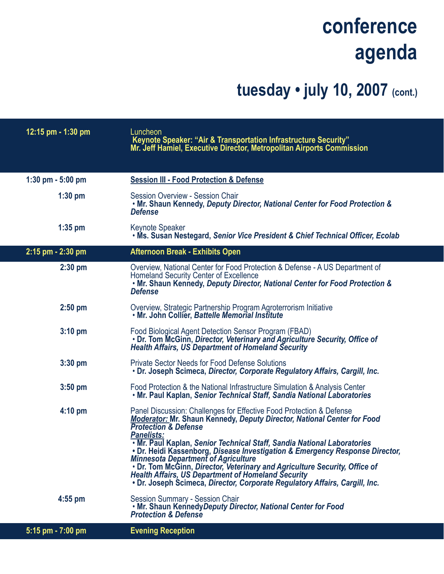#### **tuesday • july 10, 2007 (cont.)**

| 12:15 pm - 1:30 pm   | Luncheon<br>Keynote Speaker: "Air & Transportation Infrastructure Security"<br>Mr. Jeff Hamiel, Executive Director, Metropolitan Airports Commission                                                                                                                                                                                                                                                                                                                                                                                                                                                                                              |
|----------------------|---------------------------------------------------------------------------------------------------------------------------------------------------------------------------------------------------------------------------------------------------------------------------------------------------------------------------------------------------------------------------------------------------------------------------------------------------------------------------------------------------------------------------------------------------------------------------------------------------------------------------------------------------|
| $1:30$ pm $-5:00$ pm | <b>Session III - Food Protection &amp; Defense</b>                                                                                                                                                                                                                                                                                                                                                                                                                                                                                                                                                                                                |
| $1:30$ pm            | Session Overview - Session Chair<br>. Mr. Shaun Kennedy, Deputy Director, National Center for Food Protection &<br><b>Defense</b>                                                                                                                                                                                                                                                                                                                                                                                                                                                                                                                 |
| $1:35$ pm            | Keynote Speaker<br>. Ms. Susan Nestegard, Senior Vice President & Chief Technical Officer, Ecolab                                                                                                                                                                                                                                                                                                                                                                                                                                                                                                                                                 |
| 2:15 pm - 2:30 pm    | <b>Afternoon Break - Exhibits Open</b>                                                                                                                                                                                                                                                                                                                                                                                                                                                                                                                                                                                                            |
| $2:30$ pm            | Overview, National Center for Food Protection & Defense - A US Department of<br><b>Homeland Security Center of Excellence</b><br>. Mr. Shaun Kennedy, Deputy Director, National Center for Food Protection &<br><b>Defense</b>                                                                                                                                                                                                                                                                                                                                                                                                                    |
| $2:50$ pm            | Overview, Strategic Partnership Program Agroterrorism Initiative<br>. Mr. John Collier, Battelle Memorial Institute                                                                                                                                                                                                                                                                                                                                                                                                                                                                                                                               |
| $3:10$ pm            | Food Biological Agent Detection Sensor Program (FBAD)<br>. Dr. Tom McGinn, Director, Veterinary and Agriculture Security, Office of<br><b>Health Affairs, US Department of Homeland Security</b>                                                                                                                                                                                                                                                                                                                                                                                                                                                  |
| $3:30$ pm            | <b>Private Sector Needs for Food Defense Solutions</b><br>. Dr. Joseph Scimeca, Director, Corporate Regulatory Affairs, Cargill, Inc.                                                                                                                                                                                                                                                                                                                                                                                                                                                                                                             |
| $3:50$ pm            | Food Protection & the National Infrastructure Simulation & Analysis Center<br>. Mr. Paul Kaplan, Senior Technical Staff, Sandia National Laboratories                                                                                                                                                                                                                                                                                                                                                                                                                                                                                             |
| $4:10 \text{ pm}$    | Panel Discussion: Challenges for Effective Food Protection & Defense<br><b>Moderator: Mr. Shaun Kennedy, Deputy Director, National Center for Food</b><br><b>Protection &amp; Defense</b><br><b>Panelists:</b><br>. Mr. Paul Kaplan, Senior Technical Staff, Sandia National Laboratories<br>. Dr. Heidi Kassenborg, Disease Investigation & Emergency Response Director,<br><b>Minnesota Department of Agriculture</b><br>. Dr. Tom McGinn, Director, Veterinary and Agriculture Security, Office of<br><b>Health Affairs, US Department of Homeland Security</b><br>. Dr. Joseph Scimeca, Director, Corporate Regulatory Affairs, Cargill, Inc. |
| $4:55$ pm            | <b>Session Summary - Session Chair</b><br>. Mr. Shaun KennedyDeputy Director, National Center for Food<br><b>Protection &amp; Defense</b>                                                                                                                                                                                                                                                                                                                                                                                                                                                                                                         |
| 5:15 pm - 7:00 pm    | <b>Evening Reception</b>                                                                                                                                                                                                                                                                                                                                                                                                                                                                                                                                                                                                                          |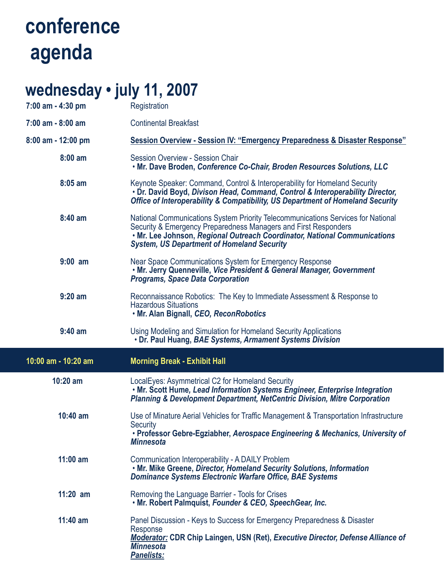#### **wednesday • july 11, 2007**

| 11 J J L L J J J J J<br>7:00 am - 4:30 pm | Registration                                                                                                                                                                                                                                                                          |
|-------------------------------------------|---------------------------------------------------------------------------------------------------------------------------------------------------------------------------------------------------------------------------------------------------------------------------------------|
| $7:00$ am - $8:00$ am                     | <b>Continental Breakfast</b>                                                                                                                                                                                                                                                          |
| 8:00 am - 12:00 pm                        | Session Overview - Session IV: "Emergency Preparedness & Disaster Response"                                                                                                                                                                                                           |
| 8:00 am                                   | <b>Session Overview - Session Chair</b><br>. Mr. Dave Broden, Conference Co-Chair, Broden Resources Solutions, LLC                                                                                                                                                                    |
| 8:05 am                                   | Keynote Speaker: Command, Control & Interoperability for Homeland Security<br>• Dr. David Boyd, Divison Head, Command, Control & Interoperability Director,<br>Office of Interoperability & Compatibility, US Department of Homeland Security                                         |
| 8:40 am                                   | National Communications System Priority Telecommunications Services for National<br>Security & Emergency Preparedness Managers and First Responders<br>. Mr. Lee Johnson, Regional Outreach Coordinator, National Communications<br><b>System, US Department of Homeland Security</b> |
| $9:00$ am                                 | Near Space Communications System for Emergency Response<br>. Mr. Jerry Quenneville, Vice President & General Manager, Government<br><b>Programs, Space Data Corporation</b>                                                                                                           |
| $9:20$ am                                 | Reconnaissance Robotics: The Key to Immediate Assessment & Response to<br><b>Hazardous Situations</b><br>. Mr. Alan Bignall, CEO, ReconRobotics                                                                                                                                       |
|                                           |                                                                                                                                                                                                                                                                                       |
| $9:40$ am                                 | Using Modeling and Simulation for Homeland Security Applications<br>• Dr. Paul Huang, BAE Systems, Armament Systems Division                                                                                                                                                          |
| 10:00 am - 10:20 am                       | <b>Morning Break - Exhibit Hall</b>                                                                                                                                                                                                                                                   |
| 10:20 am                                  | LocalEyes: Asymmetrical C2 for Homeland Security<br>. Mr. Scott Hume, Lead Information Systems Engineer, Enterprise Integration<br><b>Planning &amp; Development Department, NetCentric Division, Mitre Corporation</b>                                                               |
| $10:40$ am                                | Use of Minature Aerial Vehicles for Traffic Management & Transportation Infrastructure<br><b>Security</b><br>• Professor Gebre-Egziabher, Aerospace Engineering & Mechanics, University of<br><b>Minnesota</b>                                                                        |
| $11:00$ am                                | <b>Communication Interoperability - A DAILY Problem</b><br>. Mr. Mike Greene, Director, Homeland Security Solutions, Information<br><b>Dominance Systems Electronic Warfare Office, BAE Systems</b>                                                                                   |
| $11:20$ am                                | Removing the Language Barrier - Tools for Crises<br>. Mr. Robert Palmquist, Founder & CEO, SpeechGear, Inc.                                                                                                                                                                           |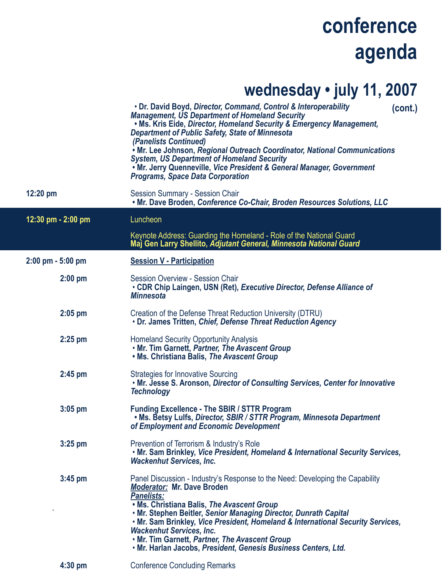#### **wednesday • july 11, 2007**

|                      | . Dr. David Boyd, Director, Command, Control & Interoperability<br>(cont.)<br><b>Management, US Department of Homeland Security</b><br>. Ms. Kris Eide, Director, Homeland Security & Emergency Management,<br><b>Department of Public Safety, State of Minnesota</b><br>(Panelists Continued)<br>. Mr. Lee Johnson, Regional Outreach Coordinator, National Communications<br><b>System, US Department of Homeland Security</b><br>. Mr. Jerry Quenneville, Vice President & General Manager, Government<br><b>Programs, Space Data Corporation</b> |
|----------------------|------------------------------------------------------------------------------------------------------------------------------------------------------------------------------------------------------------------------------------------------------------------------------------------------------------------------------------------------------------------------------------------------------------------------------------------------------------------------------------------------------------------------------------------------------|
| $12:20$ pm           | <b>Session Summary - Session Chair</b><br>. Mr. Dave Broden, Conference Co-Chair, Broden Resources Solutions, LLC                                                                                                                                                                                                                                                                                                                                                                                                                                    |
| 12:30 pm - 2:00 pm   | Luncheon                                                                                                                                                                                                                                                                                                                                                                                                                                                                                                                                             |
|                      | Keynote Address: Guarding the Homeland - Role of the National Guard<br>Maj Gen Larry Shellito, Adjutant General, Minnesota National Guard                                                                                                                                                                                                                                                                                                                                                                                                            |
| $2:00$ pm $-5:00$ pm | <b>Session V - Participation</b>                                                                                                                                                                                                                                                                                                                                                                                                                                                                                                                     |
| $2:00$ pm            | <b>Session Overview - Session Chair</b><br>• CDR Chip Laingen, USN (Ret), Executive Director, Defense Alliance of<br><b>Minnesota</b>                                                                                                                                                                                                                                                                                                                                                                                                                |
| $2:05$ pm            | Creation of the Defense Threat Reduction University (DTRU)<br>• Dr. James Tritten, Chief, Defense Threat Reduction Agency                                                                                                                                                                                                                                                                                                                                                                                                                            |
| $2:25$ pm            | <b>Homeland Security Opportunity Analysis</b><br>. Mr. Tim Garnett, Partner, The Avascent Group<br>. Ms. Christiana Balis, The Avascent Group                                                                                                                                                                                                                                                                                                                                                                                                        |
| $2:45$ pm            | <b>Strategies for Innovative Sourcing</b><br>. Mr. Jesse S. Aronson, Director of Consulting Services, Center for Innovative<br><b>Technology</b>                                                                                                                                                                                                                                                                                                                                                                                                     |
| $3:05$ pm            | <b>Funding Excellence - The SBIR / STTR Program</b><br>• Ms. Betsy Lulfs, Director, SBIR / STTR Program, Minnesota Department<br>of Employment and Economic Development                                                                                                                                                                                                                                                                                                                                                                              |
| $3:25$ pm            | Prevention of Terrorism & Industry's Role<br>. Mr. Sam Brinkley, Vice President, Homeland & International Security Services,<br><b>Wackenhut Services, Inc.</b>                                                                                                                                                                                                                                                                                                                                                                                      |
| $3:45$ pm            | Panel Discussion - Industry's Response to the Need: Developing the Capability<br><b>Moderator: Mr. Dave Broden</b><br><b>Panelists:</b><br>. Ms. Christiana Balis, The Avascent Group<br>. Mr. Stephen Beitler, Senior Managing Director, Dunrath Capital<br>. Mr. Sam Brinkley, Vice President, Homeland & International Security Services,<br><b>Wackenhut Services, Inc.</b><br>. Mr. Tim Garnett, Partner, The Avascent Group<br>. Mr. Harlan Jacobs, President, Genesis Business Centers, Ltd.                                                  |
|                      |                                                                                                                                                                                                                                                                                                                                                                                                                                                                                                                                                      |

 **4:30 pm** Conference Concluding Remarks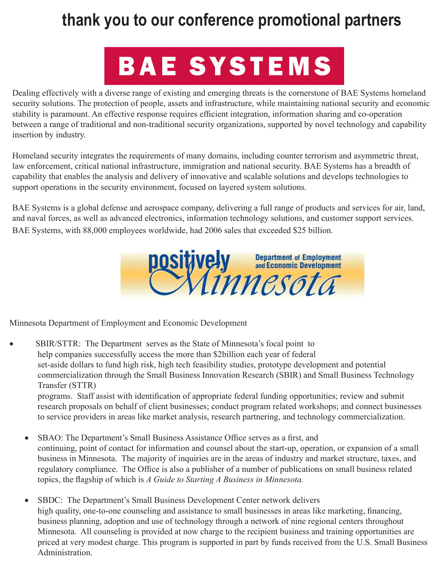#### **thank you to our conference promotional partners**

## **BAE SYSTEMS**

Dealing effectively with a diverse range of existing and emerging threats is the cornerstone of BAE Systems homeland security solutions. The protection of people, assets and infrastructure, while maintaining national security and economic stability is paramount. An effective response requires efficient integration, information sharing and co-operation between a range of traditional and non-traditional security organizations, supported by novel technology and capability insertion by industry.

Homeland security integrates the requirements of many domains, including counter terrorism and asymmetric threat, law enforcement, critical national infrastructure, immigration and national security. BAE Systems has a breadth of capability that enables the analysis and delivery of innovative and scalable solutions and develops technologies to support operations in the security environment, focused on layered system solutions.

BAE Systems is a global defense and aerospace company, delivering a full range of products and services for air, land, and naval forces, as well as advanced electronics, information technology solutions, and customer support services. BAE Systems, with 88,000 employees worldwide, had 2006 sales that exceeded \$25 billion.



Minnesota Department of Employment and Economic Development

SBIR/STTR: The Department serves as the State of Minnesota's focal point to help companies successfully access the more than \$2billion each year of federal set-aside dollars to fund high risk, high tech feasibility studies, prototype development and potential commercialization through the Small Business Innovation Research (SBIR) and Small Business Technology Transfer (STTR) programs. Staff assist with identification of appropriate federal funding opportunities; review and submit

research proposals on behalf of client businesses; conduct program related workshops; and connect businesses to service providers in areas like market analysis, research partnering, and technology commercialization.

- SBAO: The Department's Small Business Assistance Office serves as a first, and continuing, point of contact for information and counsel about the start-up, operation, or expansion of a small business in Minnesota. The majority of inquiries are in the areas of industry and market structure, taxes, and regulatory compliance. The Office is also a publisher of a number of publications on small business related topics, the flagship of which is *A Guide to Starting A Business in Minnesota.*
- SBDC: The Department's Small Business Development Center network delivers high quality, one-to-one counseling and assistance to small businesses in areas like marketing, financing, business planning, adoption and use of technology through a network of nine regional centers throughout Minnesota. All counseling is provided at now charge to the recipient business and training opportunities are priced at very modest charge. This program is supported in part by funds received from the U.S. Small Business Administration.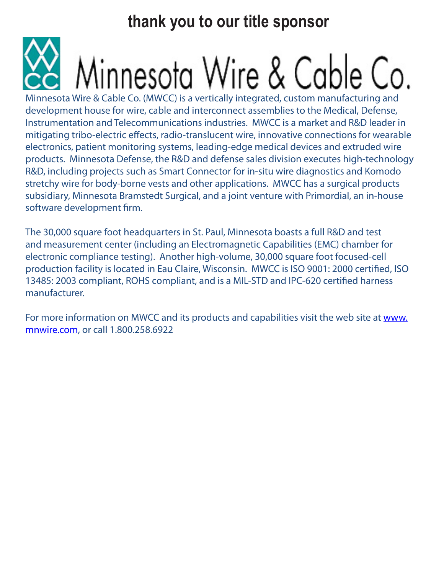**thank you to our title sponsor**

# Minnesota Wire & Cable Co.

Minnesota Wire & Cable Co. (MWCC) is a vertically integrated, custom manufacturing and development house for wire, cable and interconnect assemblies to the Medical, Defense, Instrumentation and Telecommunications industries. MWCC is a market and R&D leader in mitigating tribo-electric effects, radio-translucent wire, innovative connections for wearable electronics, patient monitoring systems, leading-edge medical devices and extruded wire products. Minnesota Defense, the R&D and defense sales division executes high-technology R&D, including projects such as Smart Connector for in-situ wire diagnostics and Komodo stretchy wire for body-borne vests and other applications. MWCC has a surgical products subsidiary, Minnesota Bramstedt Surgical, and a joint venture with Primordial, an in-house software development firm.

The 30,000 square foot headquarters in St. Paul, Minnesota boasts a full R&D and test and measurement center (including an Electromagnetic Capabilities (EMC) chamber for electronic compliance testing). Another high-volume, 30,000 square foot focused-cell production facility is located in Eau Claire, Wisconsin. MWCC is ISO 9001: 2000 certified, ISO 13485: 2003 compliant, ROHS compliant, and is a MIL-STD and IPC-620 certified harness manufacturer.

For more information on MWCC and its products and capabilities visit the web site at www. mnwire.com, or call 1.800.258.6922